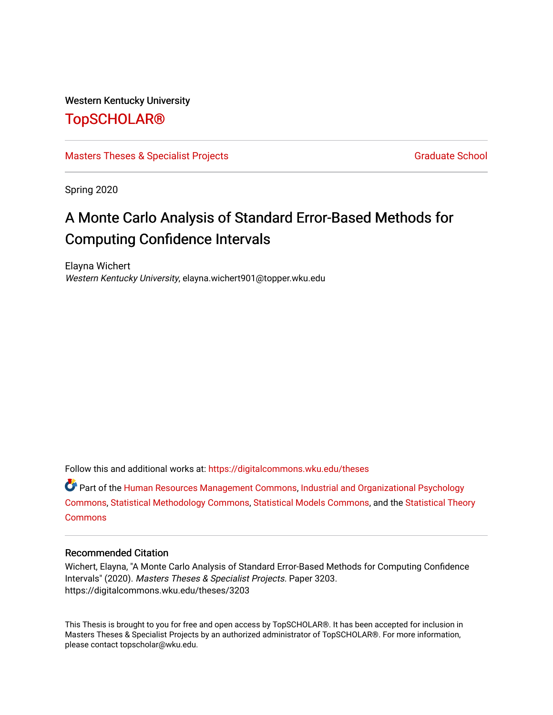## Western Kentucky University

# [TopSCHOLAR®](https://digitalcommons.wku.edu/)

# [Masters Theses & Specialist Projects](https://digitalcommons.wku.edu/theses) [Graduate School](https://digitalcommons.wku.edu/Graduate) Craduate School Craduate School

Spring 2020

# A Monte Carlo Analysis of Standard Error-Based Methods for Computing Confidence Intervals

Elayna Wichert Western Kentucky University, elayna.wichert901@topper.wku.edu

Follow this and additional works at: [https://digitalcommons.wku.edu/theses](https://digitalcommons.wku.edu/theses?utm_source=digitalcommons.wku.edu%2Ftheses%2F3203&utm_medium=PDF&utm_campaign=PDFCoverPages) 

Part of the [Human Resources Management Commons,](http://network.bepress.com/hgg/discipline/633?utm_source=digitalcommons.wku.edu%2Ftheses%2F3203&utm_medium=PDF&utm_campaign=PDFCoverPages) [Industrial and Organizational Psychology](http://network.bepress.com/hgg/discipline/412?utm_source=digitalcommons.wku.edu%2Ftheses%2F3203&utm_medium=PDF&utm_campaign=PDFCoverPages) [Commons](http://network.bepress.com/hgg/discipline/412?utm_source=digitalcommons.wku.edu%2Ftheses%2F3203&utm_medium=PDF&utm_campaign=PDFCoverPages), [Statistical Methodology Commons](http://network.bepress.com/hgg/discipline/213?utm_source=digitalcommons.wku.edu%2Ftheses%2F3203&utm_medium=PDF&utm_campaign=PDFCoverPages), [Statistical Models Commons,](http://network.bepress.com/hgg/discipline/827?utm_source=digitalcommons.wku.edu%2Ftheses%2F3203&utm_medium=PDF&utm_campaign=PDFCoverPages) and the [Statistical Theory](http://network.bepress.com/hgg/discipline/214?utm_source=digitalcommons.wku.edu%2Ftheses%2F3203&utm_medium=PDF&utm_campaign=PDFCoverPages) **[Commons](http://network.bepress.com/hgg/discipline/214?utm_source=digitalcommons.wku.edu%2Ftheses%2F3203&utm_medium=PDF&utm_campaign=PDFCoverPages)** 

### Recommended Citation

Wichert, Elayna, "A Monte Carlo Analysis of Standard Error-Based Methods for Computing Confidence Intervals" (2020). Masters Theses & Specialist Projects. Paper 3203. https://digitalcommons.wku.edu/theses/3203

This Thesis is brought to you for free and open access by TopSCHOLAR®. It has been accepted for inclusion in Masters Theses & Specialist Projects by an authorized administrator of TopSCHOLAR®. For more information, please contact topscholar@wku.edu.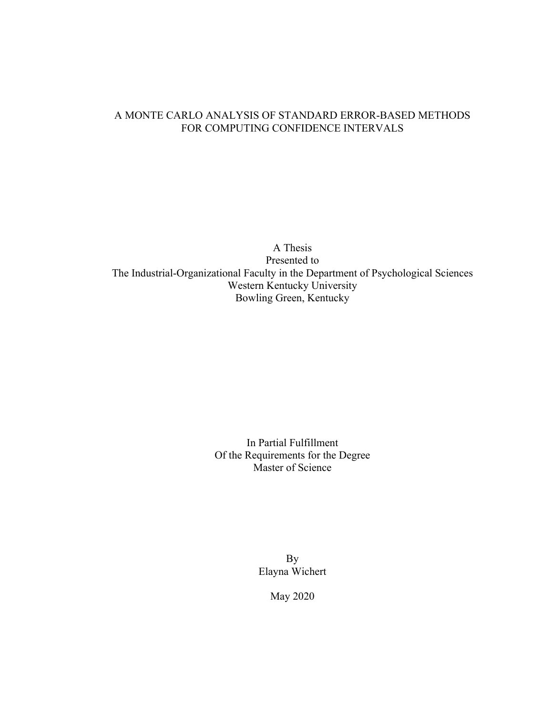# A MONTE CARLO ANALYSIS OF STANDARD ERROR-BASED METHODS FOR COMPUTING CONFIDENCE INTERVALS

A Thesis Presented to The Industrial-Organizational Faculty in the Department of Psychological Sciences Western Kentucky University Bowling Green, Kentucky

> In Partial Fulfillment Of the Requirements for the Degree Master of Science

> > By Elayna Wichert

> > > May 2020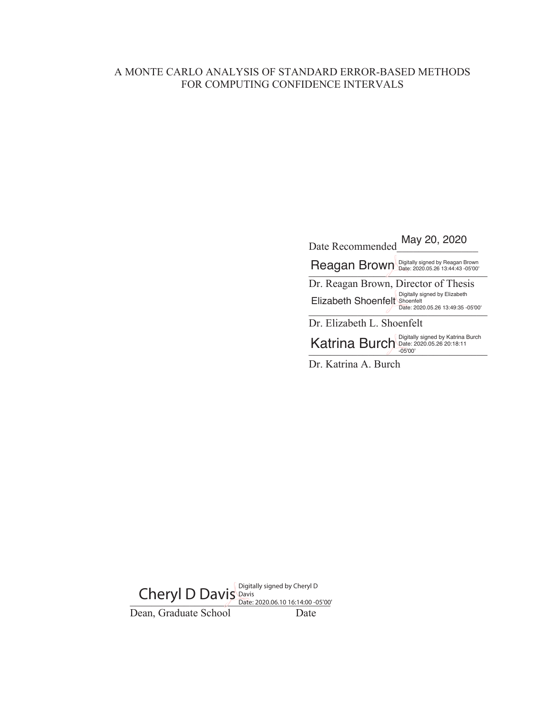# A MONTE CARLO ANALYSIS OF STANDARD ERROR-BASED METHODS FOR COMPUTING CONFIDENCE INTERVALS

| May 20, 2020<br>Date Recommended                                                                       |                                                                       |  |
|--------------------------------------------------------------------------------------------------------|-----------------------------------------------------------------------|--|
| <b>Reagan Brown</b>                                                                                    | Digitally signed by Reagan Brown<br>Date: 2020.05.26 13:44:43 -05'00' |  |
| Dr. Reagan Brown, Director of Thesis<br>Digitally signed by Elizabeth<br>Elizabeth Shoenfelt Shoenfelt | Date: 2020.05.26 13:49:35 -05'00'                                     |  |
| Dr. Elizabeth L. Shoenfelt                                                                             |                                                                       |  |
| Digitally signed by Katrina Burch<br><b>Katrina Burch</b><br>Date: 2020.05.26 20:18:11<br>$-05'00'$    |                                                                       |  |
|                                                                                                        |                                                                       |  |

Dr. Katrina A. Burch

Cheryl D Davis Davis<br>
Date: 2020.06.10 16:14:00 -05'00' Dean, Graduate School Date Date: 2020.06.10 16:14:00 -05'00'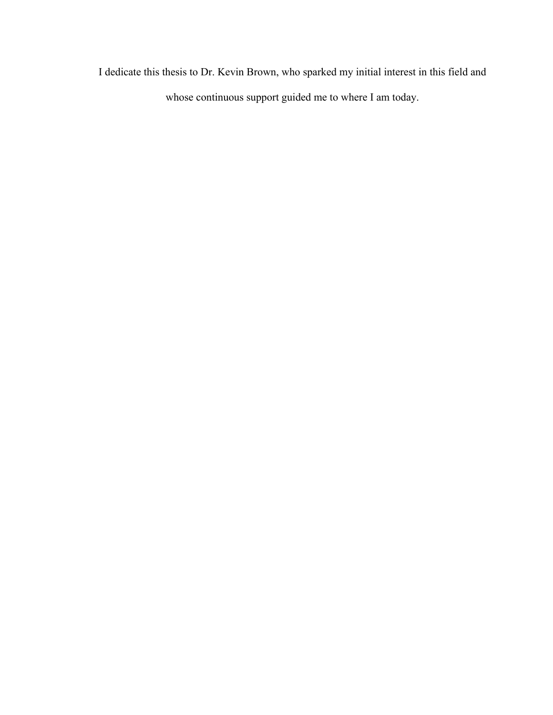I dedicate this thesis to Dr. Kevin Brown, who sparked my initial interest in this field and whose continuous support guided me to where I am today.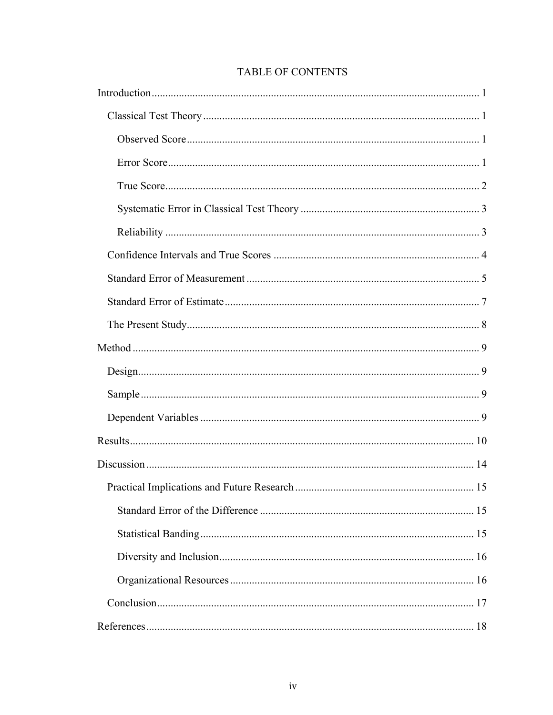# TABLE OF CONTENTS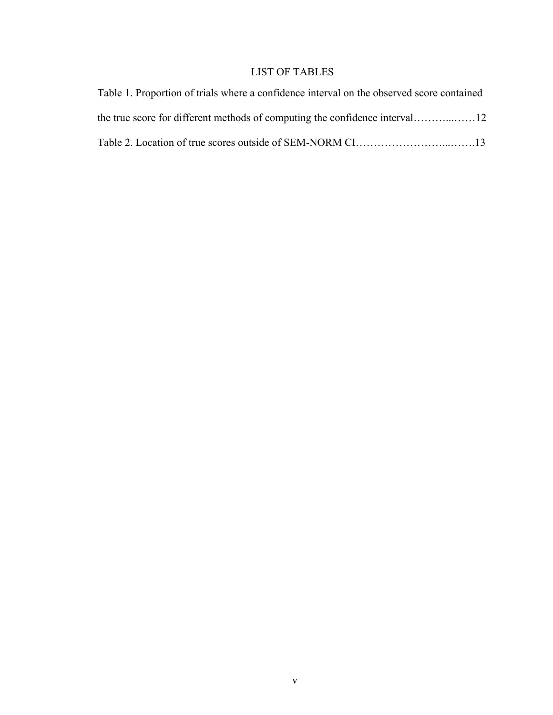# LIST OF TABLES

| Table 1. Proportion of trials where a confidence interval on the observed score contained |  |
|-------------------------------------------------------------------------------------------|--|
|                                                                                           |  |
|                                                                                           |  |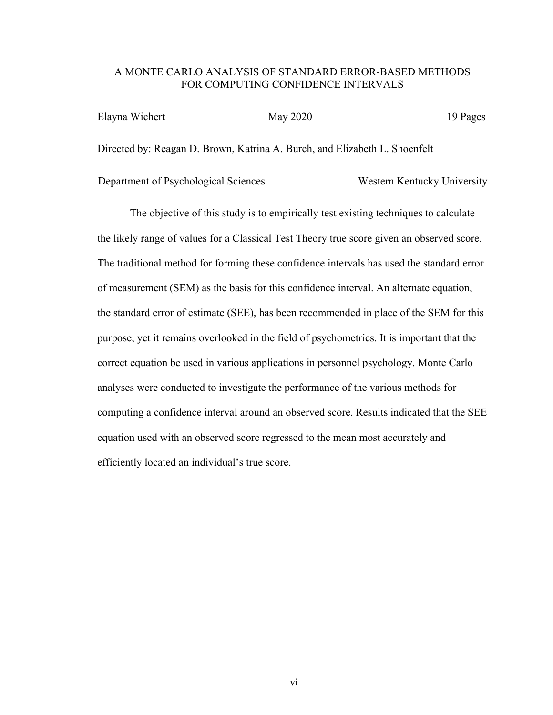# A MONTE CARLO ANALYSIS OF STANDARD ERROR-BASED METHODS FOR COMPUTING CONFIDENCE INTERVALS

| Elayna Wichert | May 2020                                                                   | 19 Pages |
|----------------|----------------------------------------------------------------------------|----------|
|                | Directed by: Reagan D. Brown, Katrina A. Burch, and Elizabeth L. Shoenfelt |          |

Department of Psychological Sciences Western Kentucky University

The objective of this study is to empirically test existing techniques to calculate the likely range of values for a Classical Test Theory true score given an observed score. The traditional method for forming these confidence intervals has used the standard error of measurement (SEM) as the basis for this confidence interval. An alternate equation, the standard error of estimate (SEE), has been recommended in place of the SEM for this purpose, yet it remains overlooked in the field of psychometrics. It is important that the correct equation be used in various applications in personnel psychology. Monte Carlo analyses were conducted to investigate the performance of the various methods for computing a confidence interval around an observed score. Results indicated that the SEE equation used with an observed score regressed to the mean most accurately and efficiently located an individual's true score.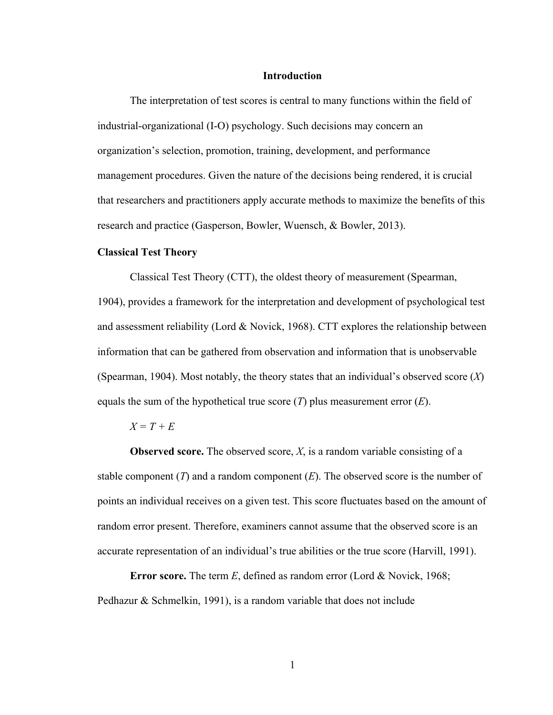#### **Introduction**

The interpretation of test scores is central to many functions within the field of industrial-organizational (I-O) psychology. Such decisions may concern an organization's selection, promotion, training, development, and performance management procedures. Given the nature of the decisions being rendered, it is crucial that researchers and practitioners apply accurate methods to maximize the benefits of this research and practice (Gasperson, Bowler, Wuensch, & Bowler, 2013).

#### **Classical Test Theory**

Classical Test Theory (CTT), the oldest theory of measurement (Spearman, 1904), provides a framework for the interpretation and development of psychological test and assessment reliability (Lord & Novick, 1968). CTT explores the relationship between information that can be gathered from observation and information that is unobservable (Spearman, 1904). Most notably, the theory states that an individual's observed score (*X*) equals the sum of the hypothetical true score (*T*) plus measurement error (*E*).

#### *X = T + E*

**Observed score.** The observed score, *X*, is a random variable consisting of a stable component (*T*) and a random component (*E*). The observed score is the number of points an individual receives on a given test. This score fluctuates based on the amount of random error present. Therefore, examiners cannot assume that the observed score is an accurate representation of an individual's true abilities or the true score (Harvill, 1991).

**Error score.** The term *E*, defined as random error (Lord & Novick, 1968; Pedhazur & Schmelkin, 1991), is a random variable that does not include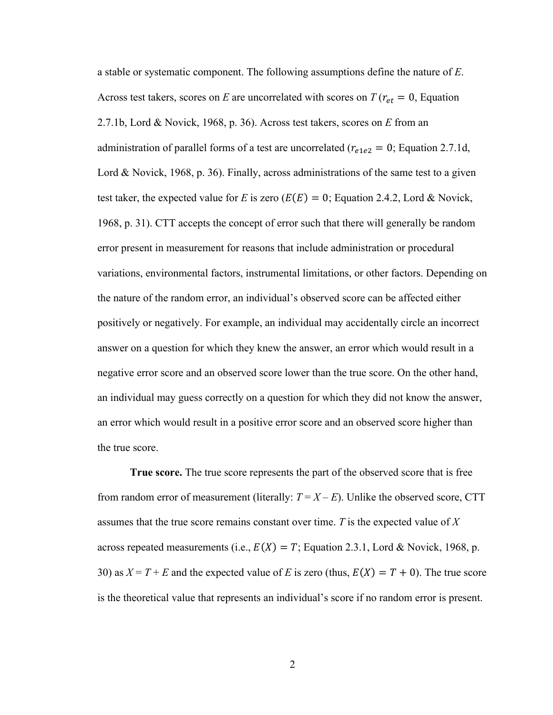a stable or systematic component. The following assumptions define the nature of *E*. Across test takers, scores on *E* are uncorrelated with scores on  $T(r_{et} = 0,$  Equation 2.7.1b, Lord & Novick, 1968, p. 36). Across test takers, scores on *E* from an administration of parallel forms of a test are uncorrelated ( $r_{e1e2} = 0$ ; Equation 2.7.1d, Lord & Novick, 1968, p. 36). Finally, across administrations of the same test to a given test taker, the expected value for *E* is zero  $(E(E) = 0)$ ; Equation 2.4.2, Lord & Novick, 1968, p. 31). CTT accepts the concept of error such that there will generally be random error present in measurement for reasons that include administration or procedural variations, environmental factors, instrumental limitations, or other factors. Depending on the nature of the random error, an individual's observed score can be affected either positively or negatively. For example, an individual may accidentally circle an incorrect answer on a question for which they knew the answer, an error which would result in a negative error score and an observed score lower than the true score. On the other hand, an individual may guess correctly on a question for which they did not know the answer, an error which would result in a positive error score and an observed score higher than the true score.

**True score.** The true score represents the part of the observed score that is free from random error of measurement (literally:  $T = X - E$ ). Unlike the observed score, CTT assumes that the true score remains constant over time. *T* is the expected value of *X* across repeated measurements (i.e.,  $E(X) = T$ ; Equation 2.3.1, Lord & Novick, 1968, p. 30) as  $X = T + E$  and the expected value of *E* is zero (thus,  $E(X) = T + 0$ ). The true score is the theoretical value that represents an individual's score if no random error is present.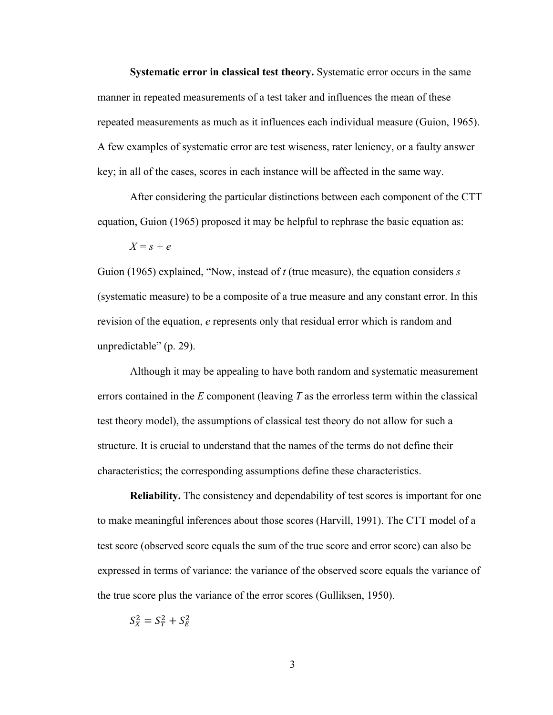**Systematic error in classical test theory.** Systematic error occurs in the same manner in repeated measurements of a test taker and influences the mean of these repeated measurements as much as it influences each individual measure (Guion, 1965). A few examples of systematic error are test wiseness, rater leniency, or a faulty answer key; in all of the cases, scores in each instance will be affected in the same way.

After considering the particular distinctions between each component of the CTT equation, Guion (1965) proposed it may be helpful to rephrase the basic equation as:

$$
X = s + e
$$

Guion (1965) explained, "Now, instead of *t* (true measure), the equation considers *s* (systematic measure) to be a composite of a true measure and any constant error. In this revision of the equation, *e* represents only that residual error which is random and unpredictable" (p. 29).

Although it may be appealing to have both random and systematic measurement errors contained in the *E* component (leaving *T* as the errorless term within the classical test theory model), the assumptions of classical test theory do not allow for such a structure. It is crucial to understand that the names of the terms do not define their characteristics; the corresponding assumptions define these characteristics.

**Reliability.** The consistency and dependability of test scores is important for one to make meaningful inferences about those scores (Harvill, 1991). The CTT model of a test score (observed score equals the sum of the true score and error score) can also be expressed in terms of variance: the variance of the observed score equals the variance of the true score plus the variance of the error scores (Gulliksen, 1950).

 $S_X^2 = S_T^2 + S_E^2$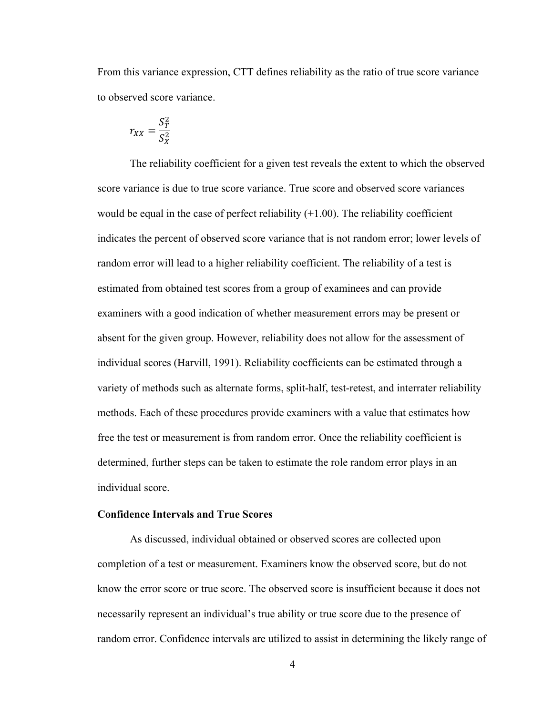From this variance expression, CTT defines reliability as the ratio of true score variance to observed score variance.

$$
r_{XX} = \frac{S_T^2}{S_X^2}
$$

The reliability coefficient for a given test reveals the extent to which the observed score variance is due to true score variance. True score and observed score variances would be equal in the case of perfect reliability  $(+1.00)$ . The reliability coefficient indicates the percent of observed score variance that is not random error; lower levels of random error will lead to a higher reliability coefficient. The reliability of a test is estimated from obtained test scores from a group of examinees and can provide examiners with a good indication of whether measurement errors may be present or absent for the given group. However, reliability does not allow for the assessment of individual scores (Harvill, 1991). Reliability coefficients can be estimated through a variety of methods such as alternate forms, split-half, test-retest, and interrater reliability methods. Each of these procedures provide examiners with a value that estimates how free the test or measurement is from random error. Once the reliability coefficient is determined, further steps can be taken to estimate the role random error plays in an individual score.

#### **Confidence Intervals and True Scores**

As discussed, individual obtained or observed scores are collected upon completion of a test or measurement. Examiners know the observed score, but do not know the error score or true score. The observed score is insufficient because it does not necessarily represent an individual's true ability or true score due to the presence of random error. Confidence intervals are utilized to assist in determining the likely range of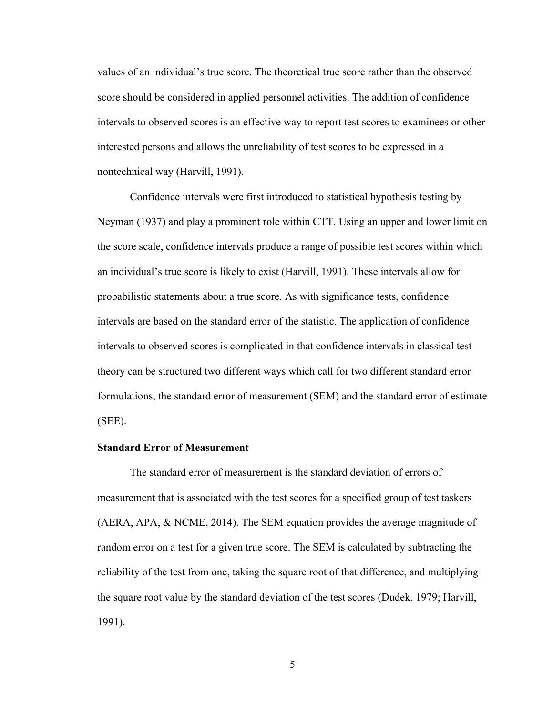values of an individual's true score. The theoretical true score rather than the observed score should be considered in applied personnel activities. The addition of confidence intervals to observed scores is an effective way to report test scores to examinees or other interested persons and allows the unreliability of test scores to be expressed in a nontechnical way (Harvill, 1991).

Confidence intervals were first introduced to statistical hypothesis testing by Neyman (1937) and play a prominent role within CTT. Using an upper and lower limit on the score scale, confidence intervals produce a range of possible test scores within which an individual's true score is likely to exist (Harvill, 1991). These intervals allow for probabilistic statements about a true score. As with significance tests, confidence intervals are based on the standard error of the statistic. The application of confidence intervals to observed scores is complicated in that confidence intervals in classical test theory can be structured two different ways which call for two different standard error formulations, the standard error of measurement (SEM) and the standard error of estimate (SEE).

# **Standard Error of Measurement**

The standard error of measurement is the standard deviation of errors of measurement that is associated with the test scores for a specified group of test taskers (AERA, APA, & NCME, 2014). The SEM equation provides the average magnitude of random error on a test for a given true score. The SEM is calculated by subtracting the reliability of the test from one, taking the square root of that difference, and multiplying the square root value by the standard deviation of the test scores (Dudek, 1979; Harvill, 1991).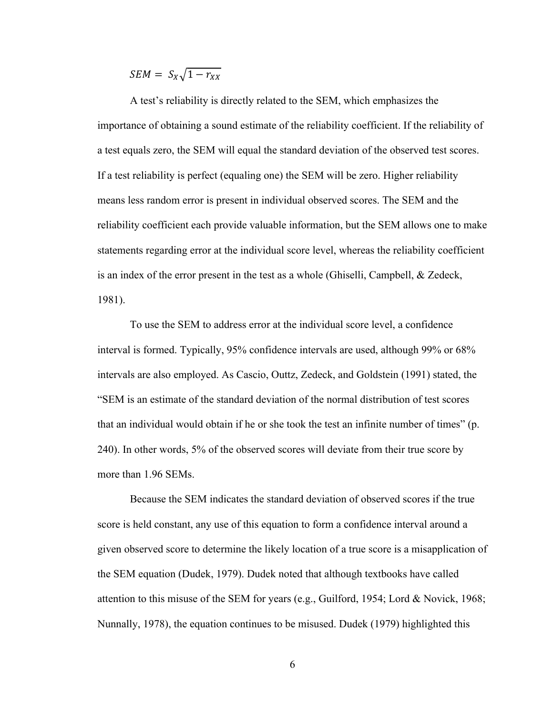$SEM = S_X \sqrt{1 - r_{XX}}$ 

A test's reliability is directly related to the SEM, which emphasizes the importance of obtaining a sound estimate of the reliability coefficient. If the reliability of a test equals zero, the SEM will equal the standard deviation of the observed test scores. If a test reliability is perfect (equaling one) the SEM will be zero. Higher reliability means less random error is present in individual observed scores. The SEM and the reliability coefficient each provide valuable information, but the SEM allows one to make statements regarding error at the individual score level, whereas the reliability coefficient is an index of the error present in the test as a whole (Ghiselli, Campbell, & Zedeck, 1981).

To use the SEM to address error at the individual score level, a confidence interval is formed. Typically, 95% confidence intervals are used, although 99% or 68% intervals are also employed. As Cascio, Outtz, Zedeck, and Goldstein (1991) stated, the "SEM is an estimate of the standard deviation of the normal distribution of test scores that an individual would obtain if he or she took the test an infinite number of times" (p. 240). In other words, 5% of the observed scores will deviate from their true score by more than 1.96 SEMs.

Because the SEM indicates the standard deviation of observed scores if the true score is held constant, any use of this equation to form a confidence interval around a given observed score to determine the likely location of a true score is a misapplication of the SEM equation (Dudek, 1979). Dudek noted that although textbooks have called attention to this misuse of the SEM for years (e.g., Guilford, 1954; Lord & Novick, 1968; Nunnally, 1978), the equation continues to be misused. Dudek (1979) highlighted this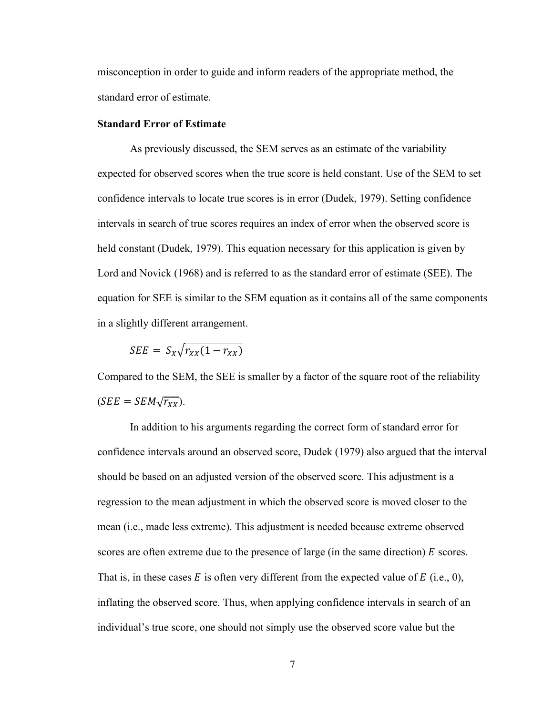misconception in order to guide and inform readers of the appropriate method, the standard error of estimate.

#### **Standard Error of Estimate**

As previously discussed, the SEM serves as an estimate of the variability expected for observed scores when the true score is held constant. Use of the SEM to set confidence intervals to locate true scores is in error (Dudek, 1979). Setting confidence intervals in search of true scores requires an index of error when the observed score is held constant (Dudek, 1979). This equation necessary for this application is given by Lord and Novick (1968) and is referred to as the standard error of estimate (SEE). The equation for SEE is similar to the SEM equation as it contains all of the same components in a slightly different arrangement.

$$
SEE = S_X \sqrt{r_{XX}(1 - r_{XX})}
$$

Compared to the SEM, the SEE is smaller by a factor of the square root of the reliability  $(SEE = SEM\sqrt{r_{XX}}).$ 

In addition to his arguments regarding the correct form of standard error for confidence intervals around an observed score, Dudek (1979) also argued that the interval should be based on an adjusted version of the observed score. This adjustment is a regression to the mean adjustment in which the observed score is moved closer to the mean (i.e., made less extreme). This adjustment is needed because extreme observed scores are often extreme due to the presence of large (in the same direction)  $\vec{E}$  scores. That is, in these cases  $E$  is often very different from the expected value of  $E$  (i.e., 0), inflating the observed score. Thus, when applying confidence intervals in search of an individual's true score, one should not simply use the observed score value but the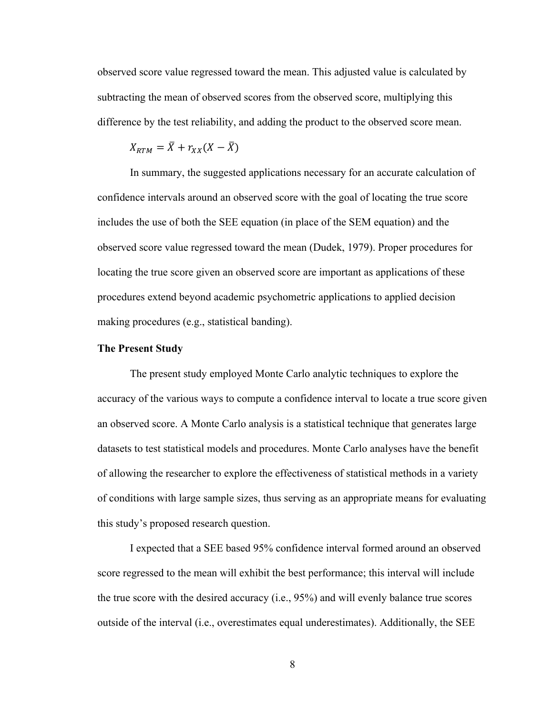observed score value regressed toward the mean. This adjusted value is calculated by subtracting the mean of observed scores from the observed score, multiplying this difference by the test reliability, and adding the product to the observed score mean.

$$
X_{RTM} = \overline{X} + r_{XX}(X - \overline{X})
$$

In summary, the suggested applications necessary for an accurate calculation of confidence intervals around an observed score with the goal of locating the true score includes the use of both the SEE equation (in place of the SEM equation) and the observed score value regressed toward the mean (Dudek, 1979). Proper procedures for locating the true score given an observed score are important as applications of these procedures extend beyond academic psychometric applications to applied decision making procedures (e.g., statistical banding).

#### **The Present Study**

The present study employed Monte Carlo analytic techniques to explore the accuracy of the various ways to compute a confidence interval to locate a true score given an observed score. A Monte Carlo analysis is a statistical technique that generates large datasets to test statistical models and procedures. Monte Carlo analyses have the benefit of allowing the researcher to explore the effectiveness of statistical methods in a variety of conditions with large sample sizes, thus serving as an appropriate means for evaluating this study's proposed research question.

I expected that a SEE based 95% confidence interval formed around an observed score regressed to the mean will exhibit the best performance; this interval will include the true score with the desired accuracy (i.e., 95%) and will evenly balance true scores outside of the interval (i.e., overestimates equal underestimates). Additionally, the SEE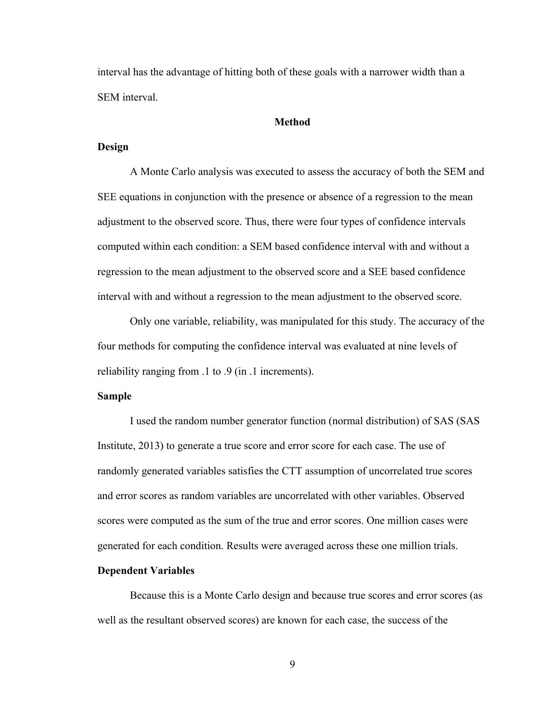interval has the advantage of hitting both of these goals with a narrower width than a SEM interval.

#### **Method**

## **Design**

A Monte Carlo analysis was executed to assess the accuracy of both the SEM and SEE equations in conjunction with the presence or absence of a regression to the mean adjustment to the observed score. Thus, there were four types of confidence intervals computed within each condition: a SEM based confidence interval with and without a regression to the mean adjustment to the observed score and a SEE based confidence interval with and without a regression to the mean adjustment to the observed score.

Only one variable, reliability, was manipulated for this study. The accuracy of the four methods for computing the confidence interval was evaluated at nine levels of reliability ranging from .1 to .9 (in .1 increments).

#### **Sample**

I used the random number generator function (normal distribution) of SAS (SAS Institute, 2013) to generate a true score and error score for each case. The use of randomly generated variables satisfies the CTT assumption of uncorrelated true scores and error scores as random variables are uncorrelated with other variables. Observed scores were computed as the sum of the true and error scores. One million cases were generated for each condition. Results were averaged across these one million trials.

## **Dependent Variables**

Because this is a Monte Carlo design and because true scores and error scores (as well as the resultant observed scores) are known for each case, the success of the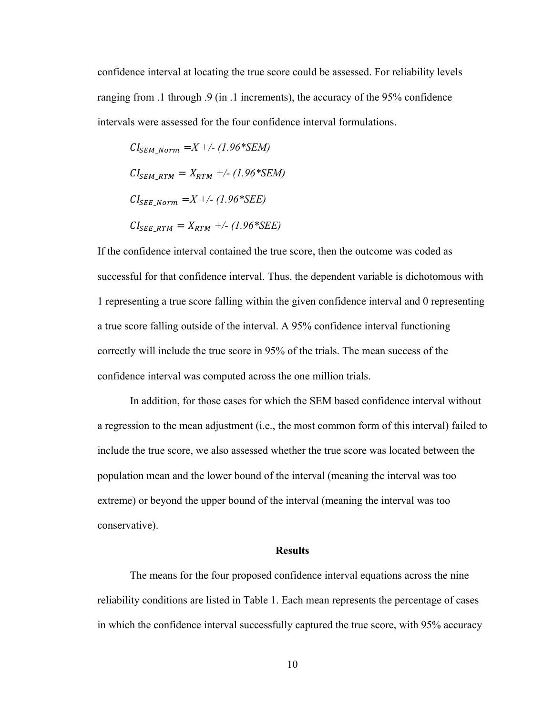confidence interval at locating the true score could be assessed. For reliability levels ranging from .1 through .9 (in .1 increments), the accuracy of the 95% confidence intervals were assessed for the four confidence interval formulations.

$$
CI_{SEM\_Norm} = X +/- (1.96 * SEM)
$$
  
\n
$$
CI_{SEM\_RTM} = X_{RTM} +/- (1.96 * SEM)
$$
  
\n
$$
CI_{SEE\_Norm} = X +/- (1.96 * SEE)
$$
  
\n
$$
CI_{SEE\_RTM} = X_{RTM} +/- (1.96 * SEE)
$$

If the confidence interval contained the true score, then the outcome was coded as successful for that confidence interval. Thus, the dependent variable is dichotomous with 1 representing a true score falling within the given confidence interval and 0 representing a true score falling outside of the interval. A 95% confidence interval functioning correctly will include the true score in 95% of the trials. The mean success of the confidence interval was computed across the one million trials.

In addition, for those cases for which the SEM based confidence interval without a regression to the mean adjustment (i.e., the most common form of this interval) failed to include the true score, we also assessed whether the true score was located between the population mean and the lower bound of the interval (meaning the interval was too extreme) or beyond the upper bound of the interval (meaning the interval was too conservative).

#### **Results**

The means for the four proposed confidence interval equations across the nine reliability conditions are listed in Table 1. Each mean represents the percentage of cases in which the confidence interval successfully captured the true score, with 95% accuracy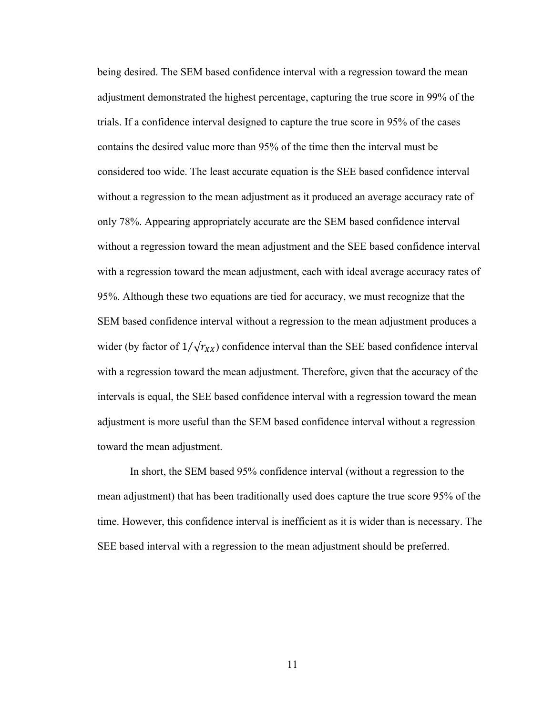being desired. The SEM based confidence interval with a regression toward the mean adjustment demonstrated the highest percentage, capturing the true score in 99% of the trials. If a confidence interval designed to capture the true score in 95% of the cases contains the desired value more than 95% of the time then the interval must be considered too wide. The least accurate equation is the SEE based confidence interval without a regression to the mean adjustment as it produced an average accuracy rate of only 78%. Appearing appropriately accurate are the SEM based confidence interval without a regression toward the mean adjustment and the SEE based confidence interval with a regression toward the mean adjustment, each with ideal average accuracy rates of 95%. Although these two equations are tied for accuracy, we must recognize that the SEM based confidence interval without a regression to the mean adjustment produces a wider (by factor of  $1/\sqrt{r_{XX}}$ ) confidence interval than the SEE based confidence interval with a regression toward the mean adjustment. Therefore, given that the accuracy of the intervals is equal, the SEE based confidence interval with a regression toward the mean adjustment is more useful than the SEM based confidence interval without a regression toward the mean adjustment.

In short, the SEM based 95% confidence interval (without a regression to the mean adjustment) that has been traditionally used does capture the true score 95% of the time. However, this confidence interval is inefficient as it is wider than is necessary. The SEE based interval with a regression to the mean adjustment should be preferred.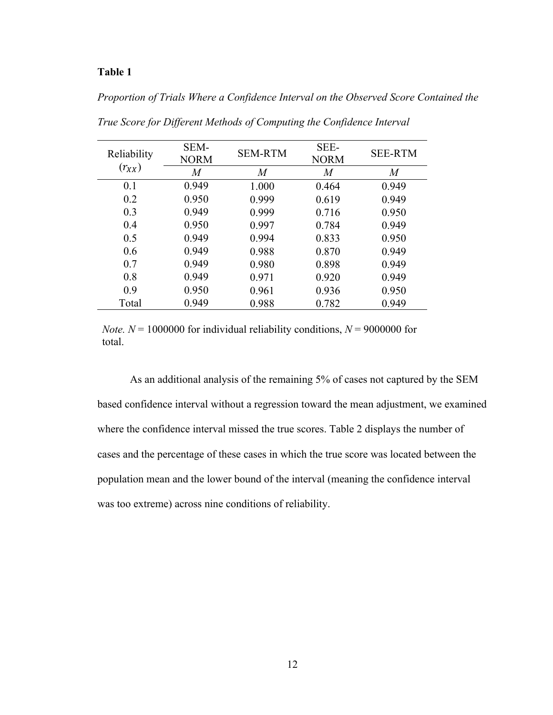# **Table 1**

# *Proportion of Trials Where a Confidence Interval on the Observed Score Contained the*

| Reliability | SEM-<br><b>NORM</b> | <b>SEM-RTM</b> | SEE-<br><b>NORM</b> | <b>SEE-RTM</b> |
|-------------|---------------------|----------------|---------------------|----------------|
| $(r_{XX})$  | $\,M$               | $\overline{M}$ | M                   | $\overline{M}$ |
| 0.1         | 0.949               | 1.000          | 0.464               | 0.949          |
| 0.2         | 0.950               | 0.999          | 0.619               | 0.949          |
| 0.3         | 0.949               | 0.999          | 0.716               | 0.950          |
| 0.4         | 0.950               | 0.997          | 0.784               | 0.949          |
| 0.5         | 0.949               | 0.994          | 0.833               | 0.950          |
| 0.6         | 0.949               | 0.988          | 0.870               | 0.949          |
| 0.7         | 0.949               | 0.980          | 0.898               | 0.949          |
| 0.8         | 0.949               | 0.971          | 0.920               | 0.949          |
| 0.9         | 0.950               | 0.961          | 0.936               | 0.950          |
| Total       | 0.949               | 0.988          | 0.782               | 0.949          |

*True Score for Different Methods of Computing the Confidence Interval*

*Note.*  $N = 1000000$  for individual reliability conditions,  $N = 9000000$  for total.

As an additional analysis of the remaining 5% of cases not captured by the SEM based confidence interval without a regression toward the mean adjustment, we examined where the confidence interval missed the true scores. Table 2 displays the number of cases and the percentage of these cases in which the true score was located between the population mean and the lower bound of the interval (meaning the confidence interval was too extreme) across nine conditions of reliability.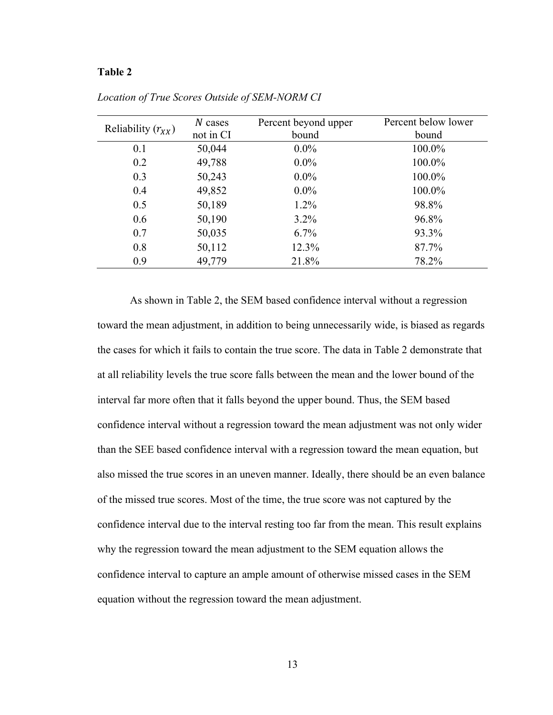#### **Table 2**

|                        | $N$ cases | Percent beyond upper | Percent below lower |
|------------------------|-----------|----------------------|---------------------|
| Reliability $(r_{XX})$ | not in CI | bound                | bound               |
| 0.1                    | 50,044    | $0.0\%$              | 100.0%              |
| 0.2                    | 49,788    | $0.0\%$              | 100.0%              |
| 0.3                    | 50,243    | $0.0\%$              | 100.0%              |
| 0.4                    | 49,852    | $0.0\%$              | 100.0%              |
| 0.5                    | 50,189    | $1.2\%$              | 98.8%               |
| 0.6                    | 50,190    | $3.2\%$              | 96.8%               |
| 0.7                    | 50,035    | $6.7\%$              | 93.3%               |
| 0.8                    | 50,112    | 12.3%                | 87.7%               |
| 0.9                    | 49,779    | 21.8%                | 78.2%               |

*Location of True Scores Outside of SEM-NORM CI*

As shown in Table 2, the SEM based confidence interval without a regression toward the mean adjustment, in addition to being unnecessarily wide, is biased as regards the cases for which it fails to contain the true score. The data in Table 2 demonstrate that at all reliability levels the true score falls between the mean and the lower bound of the interval far more often that it falls beyond the upper bound. Thus, the SEM based confidence interval without a regression toward the mean adjustment was not only wider than the SEE based confidence interval with a regression toward the mean equation, but also missed the true scores in an uneven manner. Ideally, there should be an even balance of the missed true scores. Most of the time, the true score was not captured by the confidence interval due to the interval resting too far from the mean. This result explains why the regression toward the mean adjustment to the SEM equation allows the confidence interval to capture an ample amount of otherwise missed cases in the SEM equation without the regression toward the mean adjustment.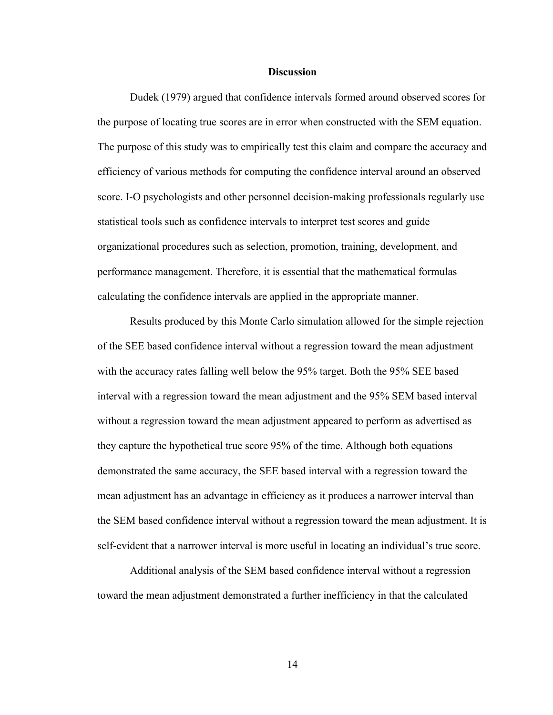#### **Discussion**

Dudek (1979) argued that confidence intervals formed around observed scores for the purpose of locating true scores are in error when constructed with the SEM equation. The purpose of this study was to empirically test this claim and compare the accuracy and efficiency of various methods for computing the confidence interval around an observed score. I-O psychologists and other personnel decision-making professionals regularly use statistical tools such as confidence intervals to interpret test scores and guide organizational procedures such as selection, promotion, training, development, and performance management. Therefore, it is essential that the mathematical formulas calculating the confidence intervals are applied in the appropriate manner.

Results produced by this Monte Carlo simulation allowed for the simple rejection of the SEE based confidence interval without a regression toward the mean adjustment with the accuracy rates falling well below the 95% target. Both the 95% SEE based interval with a regression toward the mean adjustment and the 95% SEM based interval without a regression toward the mean adjustment appeared to perform as advertised as they capture the hypothetical true score 95% of the time. Although both equations demonstrated the same accuracy, the SEE based interval with a regression toward the mean adjustment has an advantage in efficiency as it produces a narrower interval than the SEM based confidence interval without a regression toward the mean adjustment. It is self-evident that a narrower interval is more useful in locating an individual's true score.

Additional analysis of the SEM based confidence interval without a regression toward the mean adjustment demonstrated a further inefficiency in that the calculated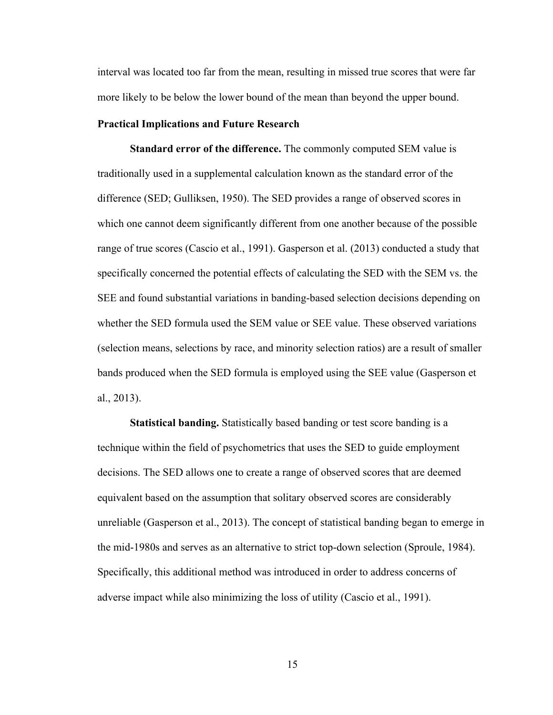interval was located too far from the mean, resulting in missed true scores that were far more likely to be below the lower bound of the mean than beyond the upper bound.

#### **Practical Implications and Future Research**

**Standard error of the difference.** The commonly computed SEM value is traditionally used in a supplemental calculation known as the standard error of the difference (SED; Gulliksen, 1950). The SED provides a range of observed scores in which one cannot deem significantly different from one another because of the possible range of true scores (Cascio et al., 1991). Gasperson et al. (2013) conducted a study that specifically concerned the potential effects of calculating the SED with the SEM vs. the SEE and found substantial variations in banding-based selection decisions depending on whether the SED formula used the SEM value or SEE value. These observed variations (selection means, selections by race, and minority selection ratios) are a result of smaller bands produced when the SED formula is employed using the SEE value (Gasperson et al., 2013).

**Statistical banding.** Statistically based banding or test score banding is a technique within the field of psychometrics that uses the SED to guide employment decisions. The SED allows one to create a range of observed scores that are deemed equivalent based on the assumption that solitary observed scores are considerably unreliable (Gasperson et al., 2013). The concept of statistical banding began to emerge in the mid-1980s and serves as an alternative to strict top-down selection (Sproule, 1984). Specifically, this additional method was introduced in order to address concerns of adverse impact while also minimizing the loss of utility (Cascio et al., 1991).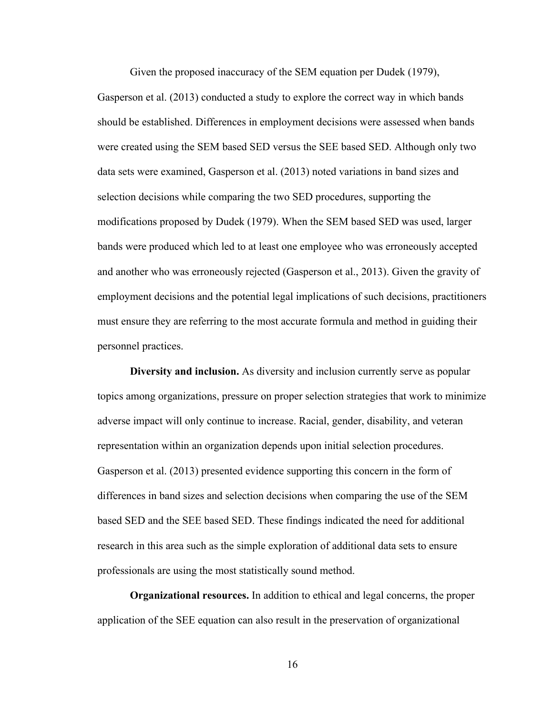Given the proposed inaccuracy of the SEM equation per Dudek (1979),

Gasperson et al. (2013) conducted a study to explore the correct way in which bands should be established. Differences in employment decisions were assessed when bands were created using the SEM based SED versus the SEE based SED. Although only two data sets were examined, Gasperson et al. (2013) noted variations in band sizes and selection decisions while comparing the two SED procedures, supporting the modifications proposed by Dudek (1979). When the SEM based SED was used, larger bands were produced which led to at least one employee who was erroneously accepted and another who was erroneously rejected (Gasperson et al., 2013). Given the gravity of employment decisions and the potential legal implications of such decisions, practitioners must ensure they are referring to the most accurate formula and method in guiding their personnel practices.

**Diversity and inclusion.** As diversity and inclusion currently serve as popular topics among organizations, pressure on proper selection strategies that work to minimize adverse impact will only continue to increase. Racial, gender, disability, and veteran representation within an organization depends upon initial selection procedures. Gasperson et al. (2013) presented evidence supporting this concern in the form of differences in band sizes and selection decisions when comparing the use of the SEM based SED and the SEE based SED. These findings indicated the need for additional research in this area such as the simple exploration of additional data sets to ensure professionals are using the most statistically sound method.

**Organizational resources.** In addition to ethical and legal concerns, the proper application of the SEE equation can also result in the preservation of organizational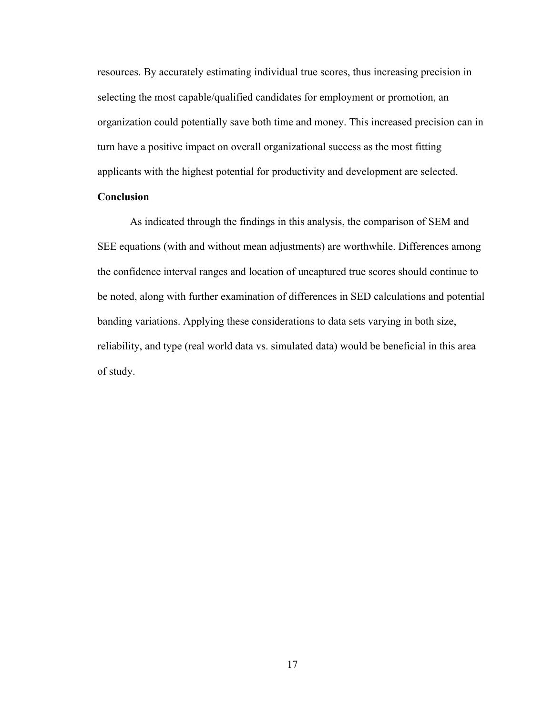resources. By accurately estimating individual true scores, thus increasing precision in selecting the most capable/qualified candidates for employment or promotion, an organization could potentially save both time and money. This increased precision can in turn have a positive impact on overall organizational success as the most fitting applicants with the highest potential for productivity and development are selected.

# **Conclusion**

As indicated through the findings in this analysis, the comparison of SEM and SEE equations (with and without mean adjustments) are worthwhile. Differences among the confidence interval ranges and location of uncaptured true scores should continue to be noted, along with further examination of differences in SED calculations and potential banding variations. Applying these considerations to data sets varying in both size, reliability, and type (real world data vs. simulated data) would be beneficial in this area of study.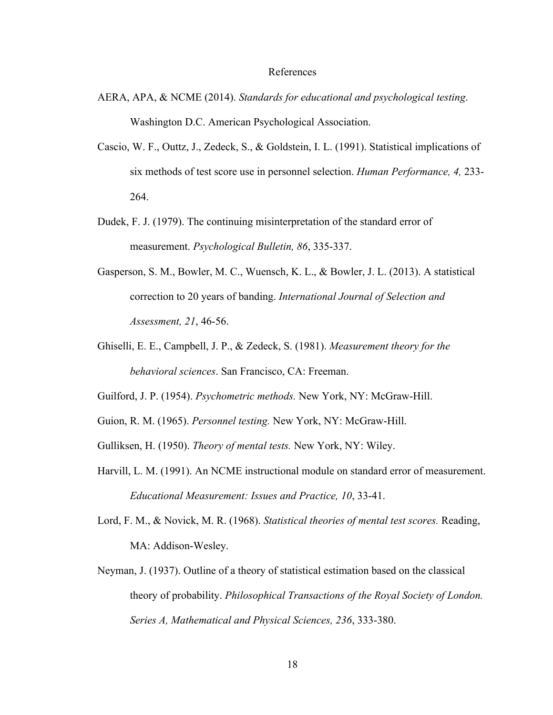#### References

- AERA, APA, & NCME (2014). *Standards for educational and psychological testing*. Washington D.C. American Psychological Association.
- Cascio, W. F., Outtz, J., Zedeck, S., & Goldstein, I. L. (1991). Statistical implications of six methods of test score use in personnel selection. *Human Performance, 4,* 233- 264.
- Dudek, F. J. (1979). The continuing misinterpretation of the standard error of measurement. *Psychological Bulletin, 86*, 335-337.
- Gasperson, S. M., Bowler, M. C., Wuensch, K. L., & Bowler, J. L. (2013). A statistical correction to 20 years of banding. *International Journal of Selection and Assessment, 21*, 46-56.
- Ghiselli, E. E., Campbell, J. P., & Zedeck, S. (1981). *Measurement theory for the behavioral sciences*. San Francisco, CA: Freeman.

Guilford, J. P. (1954). *Psychometric methods.* New York, NY: McGraw-Hill.

- Guion, R. M. (1965). *Personnel testing.* New York, NY: McGraw-Hill.
- Gulliksen, H. (1950). *Theory of mental tests.* New York, NY: Wiley.
- Harvill, L. M. (1991). An NCME instructional module on standard error of measurement. *Educational Measurement: Issues and Practice, 10*, 33-41.
- Lord, F. M., & Novick, M. R. (1968). *Statistical theories of mental test scores.* Reading, MA: Addison-Wesley.
- Neyman, J. (1937). Outline of a theory of statistical estimation based on the classical theory of probability. *Philosophical Transactions of the Royal Society of London. Series A, Mathematical and Physical Sciences, 236*, 333-380.